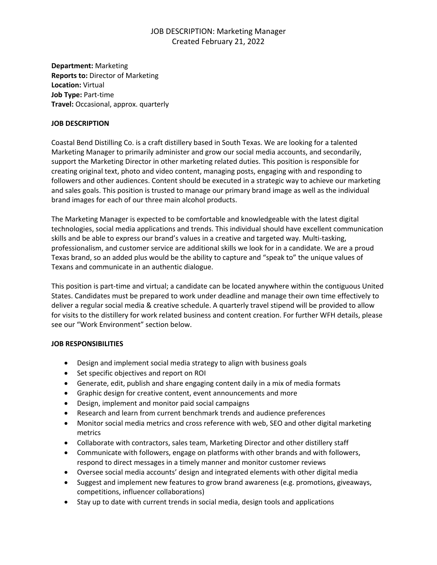# JOB DESCRIPTION: Marketing Manager Created February 21, 2022

**Department:** Marketing **Reports to:** Director of Marketing **Location:** Virtual **Job Type:** Part-time **Travel:** Occasional, approx. quarterly

### **JOB DESCRIPTION**

Coastal Bend Distilling Co. is a craft distillery based in South Texas. We are looking for a talented Marketing Manager to primarily administer and grow our social media accounts, and secondarily, support the Marketing Director in other marketing related duties. This position is responsible for creating original text, photo and video content, managing posts, engaging with and responding to followers and other audiences. Content should be executed in a strategic way to achieve our marketing and sales goals. This position is trusted to manage our primary brand image as well as the individual brand images for each of our three main alcohol products.

The Marketing Manager is expected to be comfortable and knowledgeable with the latest digital technologies, social media applications and trends. This individual should have excellent communication skills and be able to express our brand's values in a creative and targeted way. Multi-tasking, professionalism, and customer service are additional skills we look for in a candidate. We are a proud Texas brand, so an added plus would be the ability to capture and "speak to" the unique values of Texans and communicate in an authentic dialogue.

This position is part-time and virtual; a candidate can be located anywhere within the contiguous United States. Candidates must be prepared to work under deadline and manage their own time effectively to deliver a regular social media & creative schedule. A quarterly travel stipend will be provided to allow for visits to the distillery for work related business and content creation. For further WFH details, please see our "Work Environment" section below.

## **JOB RESPONSIBILITIES**

- Design and implement social media strategy to align with business goals
- Set specific objectives and report on ROI
- Generate, edit, publish and share engaging content daily in a mix of media formats
- Graphic design for creative content, event announcements and more
- Design, implement and monitor paid social campaigns
- Research and learn from current benchmark trends and audience preferences
- Monitor social media metrics and cross reference with web, SEO and other digital marketing metrics
- Collaborate with contractors, sales team, Marketing Director and other distillery staff
- Communicate with followers, engage on platforms with other brands and with followers, respond to direct messages in a timely manner and monitor customer reviews
- Oversee social media accounts' design and integrated elements with other digital media
- Suggest and implement new features to grow brand awareness (e.g. promotions, giveaways, competitions, influencer collaborations)
- Stay up to date with current trends in social media, design tools and applications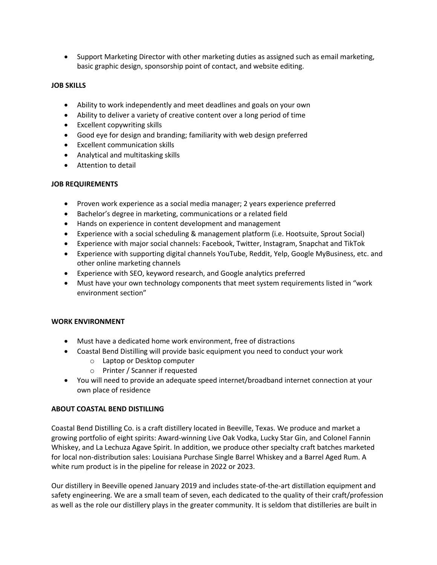• Support Marketing Director with other marketing duties as assigned such as email marketing, basic graphic design, sponsorship point of contact, and website editing.

## **JOB SKILLS**

- Ability to work independently and meet deadlines and goals on your own
- Ability to deliver a variety of creative content over a long period of time
- Excellent copywriting skills
- Good eye for design and branding; familiarity with web design preferred
- Excellent communication skills
- Analytical and multitasking skills
- Attention to detail

## **JOB REQUIREMENTS**

- Proven work experience as a social media manager; 2 years experience preferred
- Bachelor's degree in marketing, communications or a related field
- Hands on experience in content development and management
- Experience with a social scheduling & management platform (i.e. Hootsuite, Sprout Social)
- Experience with major social channels: Facebook, Twitter, Instagram, Snapchat and TikTok
- Experience with supporting digital channels YouTube, Reddit, Yelp, Google MyBusiness, etc. and other online marketing channels
- Experience with SEO, keyword research, and Google analytics preferred
- Must have your own technology components that meet system requirements listed in "work environment section"

## **WORK ENVIRONMENT**

- Must have a dedicated home work environment, free of distractions
- Coastal Bend Distilling will provide basic equipment you need to conduct your work
	- o Laptop or Desktop computer
	- o Printer / Scanner if requested
- You will need to provide an adequate speed internet/broadband internet connection at your own place of residence

## **ABOUT COASTAL BEND DISTILLING**

Coastal Bend Distilling Co. is a craft distillery located in Beeville, Texas. We produce and market a growing portfolio of eight spirits: Award-winning Live Oak Vodka, Lucky Star Gin, and Colonel Fannin Whiskey, and La Lechuza Agave Spirit. In addition, we produce other specialty craft batches marketed for local non-distribution sales: Louisiana Purchase Single Barrel Whiskey and a Barrel Aged Rum. A white rum product is in the pipeline for release in 2022 or 2023.

Our distillery in Beeville opened January 2019 and includes state-of-the-art distillation equipment and safety engineering. We are a small team of seven, each dedicated to the quality of their craft/profession as well as the role our distillery plays in the greater community. It is seldom that distilleries are built in